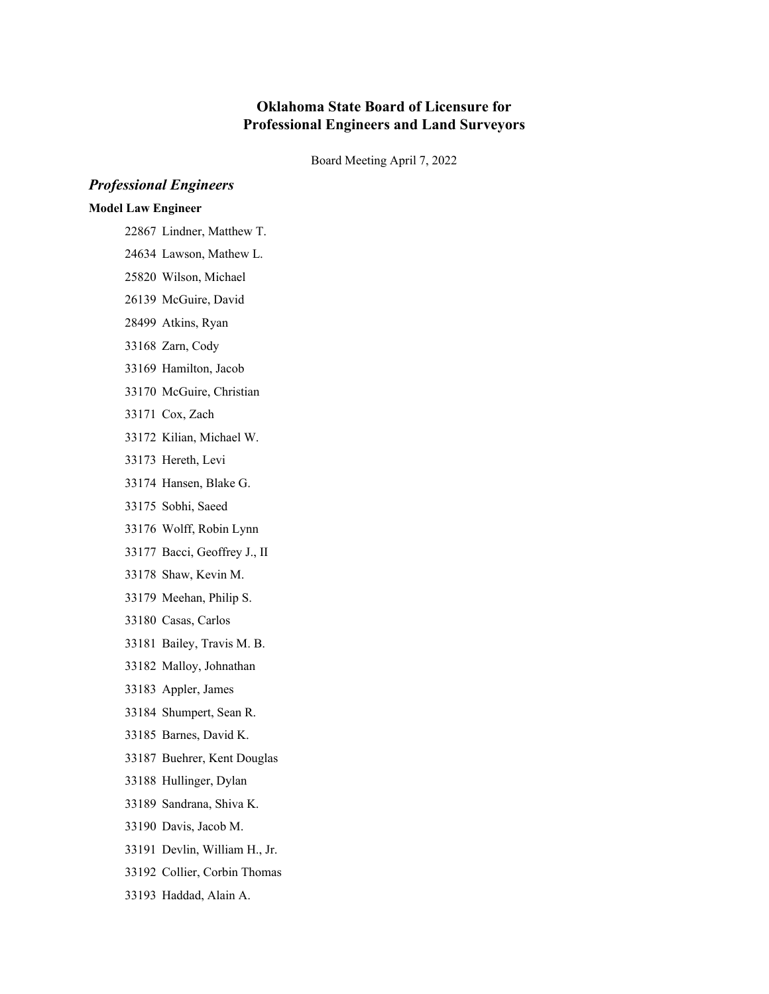## **Oklahoma State Board of Licensure for Professional Engineers and Land Surveyors**

Board Meeting April 7, 2022

# *Professional Engineers*

### **Model Law Engineer**

- Lindner, Matthew T.
- Lawson, Mathew L.
- Wilson, Michael
- McGuire, David
- Atkins, Ryan
- Zarn, Cody
- Hamilton, Jacob
- McGuire, Christian
- Cox, Zach
- Kilian, Michael W.
- Hereth, Levi
- Hansen, Blake G.
- Sobhi, Saeed
- Wolff, Robin Lynn
- Bacci, Geoffrey J., II
- Shaw, Kevin M.
- Meehan, Philip S.
- Casas, Carlos
- Bailey, Travis M. B.
- Malloy, Johnathan
- Appler, James
- Shumpert, Sean R.
- Barnes, David K.
- Buehrer, Kent Douglas
- Hullinger, Dylan
- Sandrana, Shiva K.
- Davis, Jacob M.
- Devlin, William H., Jr.
- Collier, Corbin Thomas
- Haddad, Alain A.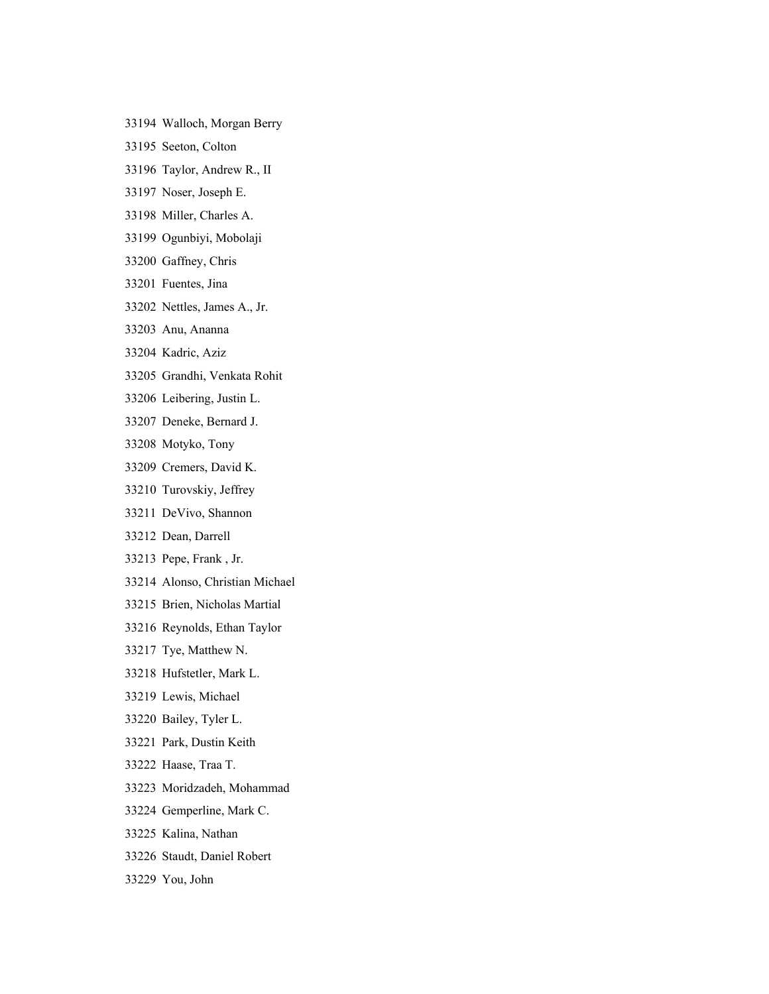- Walloch, Morgan Berry
- Seeton, Colton
- Taylor, Andrew R., II
- Noser, Joseph E.
- Miller, Charles A.
- Ogunbiyi, Mobolaji
- Gaffney, Chris
- Fuentes, Jina
- Nettles, James A., Jr.
- Anu, Ananna
- Kadric, Aziz
- Grandhi, Venkata Rohit
- Leibering, Justin L.
- Deneke, Bernard J.
- Motyko, Tony
- Cremers, David K.
- Turovskiy, Jeffrey
- DeVivo, Shannon
- Dean, Darrell
- Pepe, Frank , Jr.
- Alonso, Christian Michael
- Brien, Nicholas Martial
- Reynolds, Ethan Taylor
- Tye, Matthew N.
- Hufstetler, Mark L.
- Lewis, Michael
- Bailey, Tyler L.
- Park, Dustin Keith
- Haase, Traa T.
- Moridzadeh, Mohammad
- Gemperline, Mark C.
- Kalina, Nathan
- Staudt, Daniel Robert
- You, John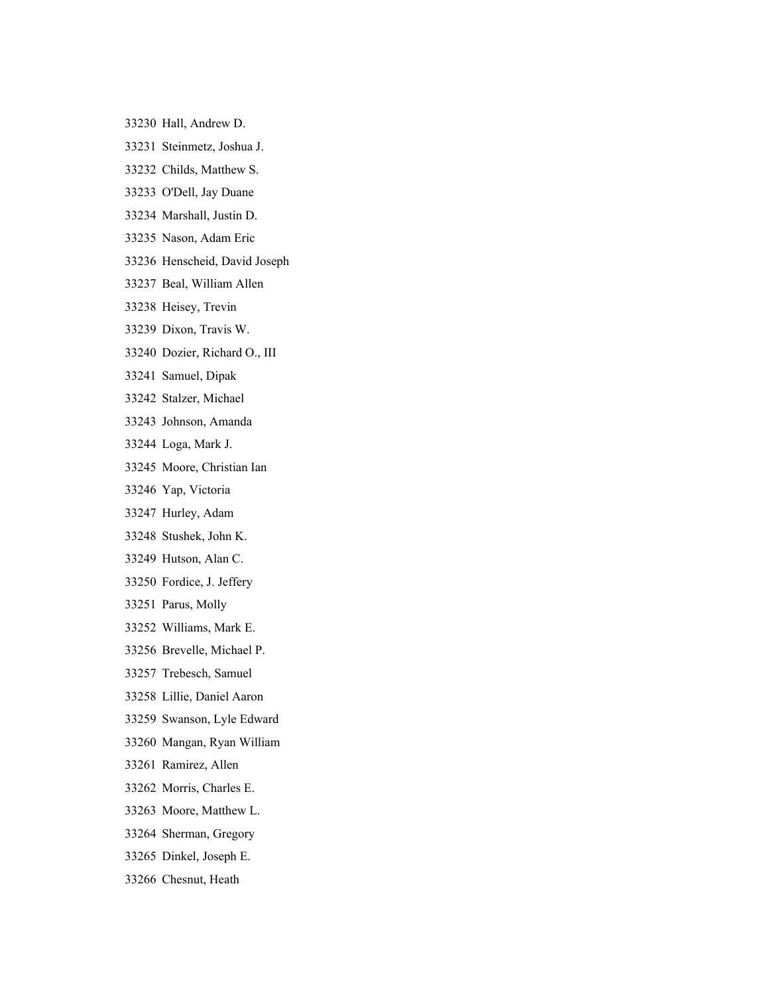- Hall, Andrew D.
- Steinmetz, Joshua J.
- Childs, Matthew S.
- O'Dell, Jay Duane
- Marshall, Justin D.
- Nason, Adam Eric
- Henscheid, David Joseph
- Beal, William Allen
- Heisey, Trevin
- Dixon, Travis W.
- Dozier, Richard O., III
- Samuel, Dipak
- Stalzer, Michael
- Johnson, Amanda
- Loga, Mark J.
- Moore, Christian Ian
- Yap, Victoria
- Hurley, Adam
- Stushek, John K.
- Hutson, Alan C.
- Fordice, J. Jeffery
- Parus, Molly
- Williams, Mark E.
- Brevelle, Michael P.
- Trebesch, Samuel
- Lillie, Daniel Aaron
- Swanson, Lyle Edward
- Mangan, Ryan William
- Ramirez, Allen
- Morris, Charles E.
- Moore, Matthew L.
- Sherman, Gregory
- Dinkel, Joseph E.
- Chesnut, Heath